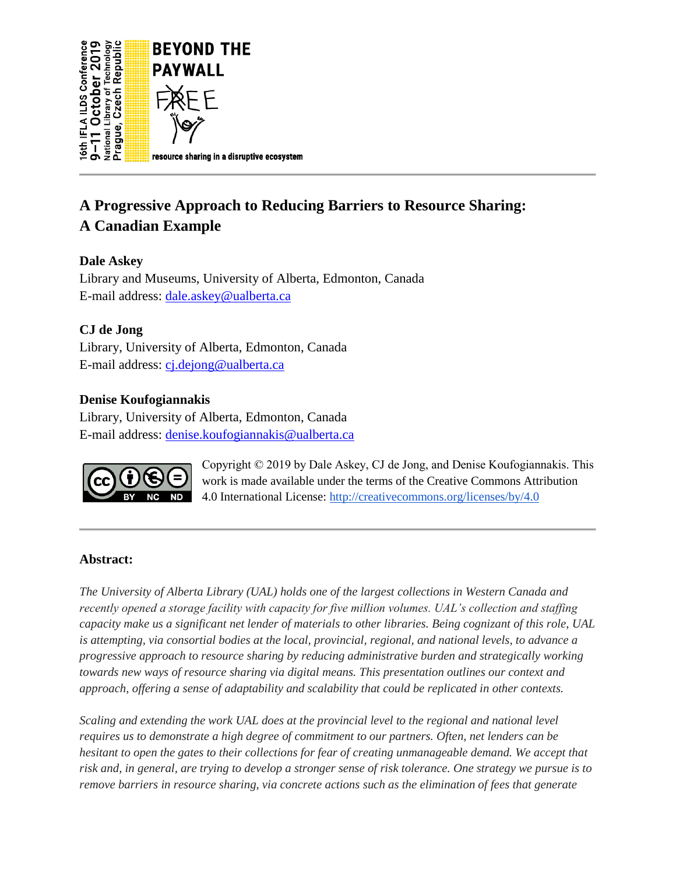

# **A Progressive Approach to Reducing Barriers to Resource Sharing: A Canadian Example**

# **Dale Askey**

Library and Museums, University of Alberta, Edmonton, Canada E-mail address: [dale.askey@ualberta.ca](mailto:dale.askey@ualberta.ca)

# **CJ de Jong**

Library, University of Alberta, Edmonton, Canada E-mail address: [cj.dejong@ualberta.ca](mailto:cj.dejong@ualberta.ca) 

# **Denise Koufogiannakis**

Library, University of Alberta, Edmonton, Canada E-mail address: [denise.koufogiannakis@ualberta.ca](mailto:denise.koufogiannakis@ualberta.ca)



Copyright © 2019 by Dale Askey, CJ de Jong, and Denise Koufogiannakis. This work is made available under the terms of the Creative Commons Attribution 4.0 International License[:](http://creativecommons.org/licenses/by/4.0) <http://creativecommons.org/licenses/by/4.0>

# **Abstract:**

*The University of Alberta Library (UAL) holds one of the largest collections in Western Canada and recently opened a storage facility with capacity for five million volumes. UAL's collection and staffing capacity make us a significant net lender of materials to other libraries. Being cognizant of this role, UAL is attempting, via consortial bodies at the local, provincial, regional, and national levels, to advance a progressive approach to resource sharing by reducing administrative burden and strategically working towards new ways of resource sharing via digital means. This presentation outlines our context and approach, offering a sense of adaptability and scalability that could be replicated in other contexts.*

*Scaling and extending the work UAL does at the provincial level to the regional and national level requires us to demonstrate a high degree of commitment to our partners. Often, net lenders can be hesitant to open the gates to their collections for fear of creating unmanageable demand. We accept that risk and, in general, are trying to develop a stronger sense of risk tolerance. One strategy we pursue is to remove barriers in resource sharing, via concrete actions such as the elimination of fees that generate*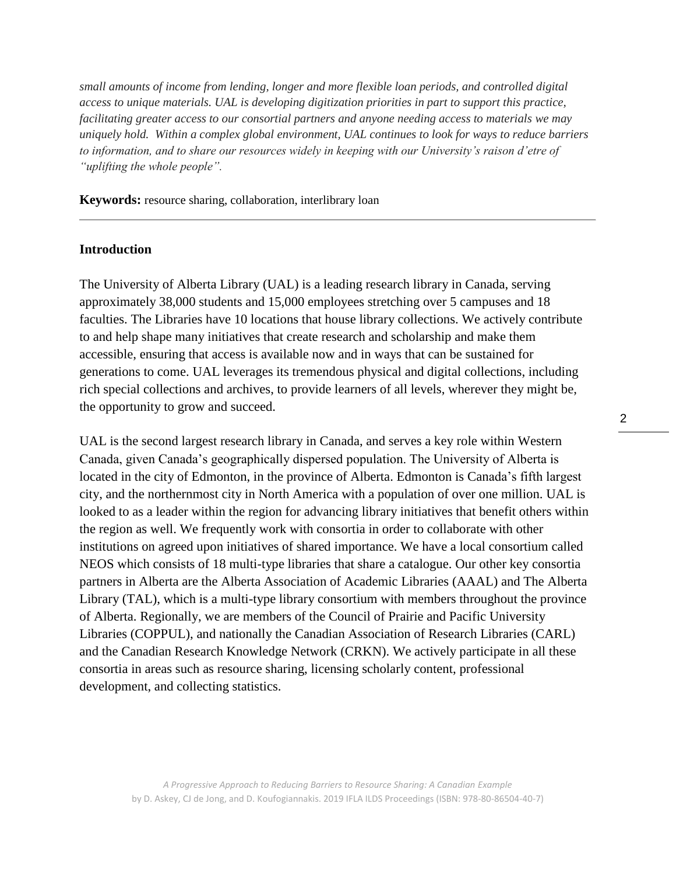*small amounts of income from lending, longer and more flexible loan periods, and controlled digital access to unique materials. UAL is developing digitization priorities in part to support this practice, facilitating greater access to our consortial partners and anyone needing access to materials we may uniquely hold. Within a complex global environment, UAL continues to look for ways to reduce barriers to information, and to share our resources widely in keeping with our University's raison d'etre of "uplifting the whole people".* 

**Keywords:** resource sharing, collaboration, interlibrary loan

## **Introduction**

The University of Alberta Library (UAL) is a leading research library in Canada, serving approximately 38,000 students and 15,000 employees stretching over 5 campuses and 18 faculties. The Libraries have 10 locations that house library collections. We actively contribute to and help shape many initiatives that create research and scholarship and make them accessible, ensuring that access is available now and in ways that can be sustained for generations to come. UAL leverages its tremendous physical and digital collections, including rich special collections and archives, to provide learners of all levels, wherever they might be, the opportunity to grow and succeed.

UAL is the second largest research library in Canada, and serves a key role within Western Canada, given Canada's geographically dispersed population. The University of Alberta is located in the city of Edmonton, in the province of Alberta. Edmonton is Canada's fifth largest city, and the northernmost city in North America with a population of over one million. UAL is looked to as a leader within the region for advancing library initiatives that benefit others within the region as well. We frequently work with consortia in order to collaborate with other institutions on agreed upon initiatives of shared importance. We have a local consortium called NEOS which consists of 18 multi-type libraries that share a catalogue. Our other key consortia partners in Alberta are the Alberta Association of Academic Libraries (AAAL) and The Alberta Library (TAL), which is a multi-type library consortium with members throughout the province of Alberta. Regionally, we are members of the Council of Prairie and Pacific University Libraries (COPPUL), and nationally the Canadian Association of Research Libraries (CARL) and the Canadian Research Knowledge Network (CRKN). We actively participate in all these consortia in areas such as resource sharing, licensing scholarly content, professional development, and collecting statistics.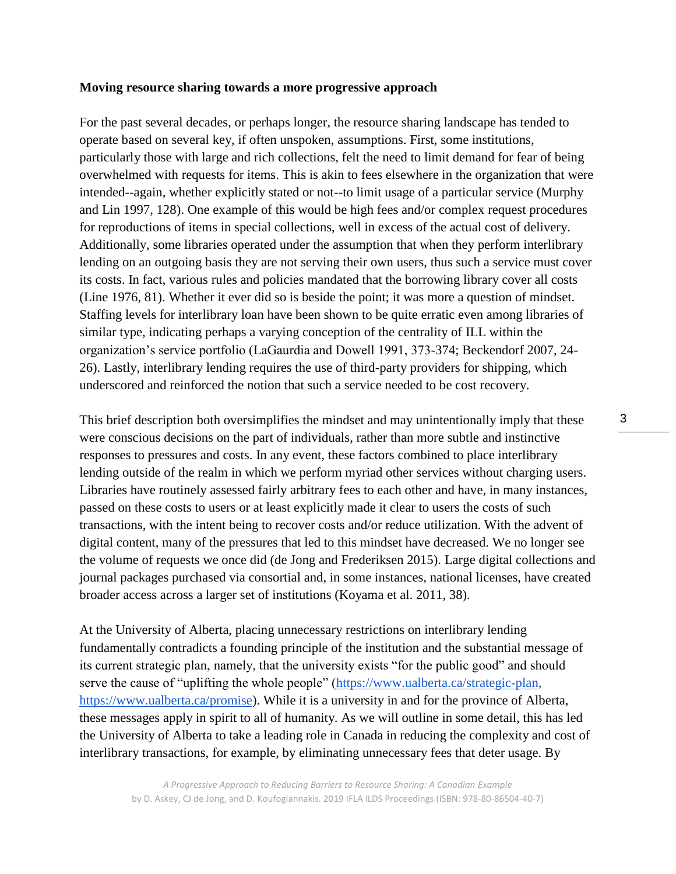#### **Moving resource sharing towards a more progressive approach**

For the past several decades, or perhaps longer, the resource sharing landscape has tended to operate based on several key, if often unspoken, assumptions. First, some institutions, particularly those with large and rich collections, felt the need to limit demand for fear of being overwhelmed with requests for items. This is akin to fees elsewhere in the organization that were intended--again, whether explicitly stated or not--to limit usage of a particular service (Murphy and Lin 1997, 128). One example of this would be high fees and/or complex request procedures for reproductions of items in special collections, well in excess of the actual cost of delivery. Additionally, some libraries operated under the assumption that when they perform interlibrary lending on an outgoing basis they are not serving their own users, thus such a service must cover its costs. In fact, various rules and policies mandated that the borrowing library cover all costs (Line 1976, 81). Whether it ever did so is beside the point; it was more a question of mindset. Staffing levels for interlibrary loan have been shown to be quite erratic even among libraries of similar type, indicating perhaps a varying conception of the centrality of ILL within the organization's service portfolio (LaGaurdia and Dowell 1991, 373-374; Beckendorf 2007, 24- 26). Lastly, interlibrary lending requires the use of third-party providers for shipping, which underscored and reinforced the notion that such a service needed to be cost recovery.

This brief description both oversimplifies the mindset and may unintentionally imply that these were conscious decisions on the part of individuals, rather than more subtle and instinctive responses to pressures and costs. In any event, these factors combined to place interlibrary lending outside of the realm in which we perform myriad other services without charging users. Libraries have routinely assessed fairly arbitrary fees to each other and have, in many instances, passed on these costs to users or at least explicitly made it clear to users the costs of such transactions, with the intent being to recover costs and/or reduce utilization. With the advent of digital content, many of the pressures that led to this mindset have decreased. We no longer see the volume of requests we once did (de Jong and Frederiksen 2015). Large digital collections and journal packages purchased via consortial and, in some instances, national licenses, have created broader access across a larger set of institutions (Koyama et al. 2011, 38).

At the University of Alberta, placing unnecessary restrictions on interlibrary lending fundamentally contradicts a founding principle of the institution and the substantial message of its current strategic plan, namely, that the university exists "for the public good" and should serve the cause of "uplifting the whole people" [\(https://www.ualberta.ca/strategic-plan](https://www.ualberta.ca/strategic-plan), [https://www.ualberta.ca/promise\)](https://www.ualberta.ca/promise). While it is a university in and for the province of Alberta, these messages apply in spirit to all of humanity. As we will outline in some detail, this has led the University of Alberta to take a leading role in Canada in reducing the complexity and cost of interlibrary transactions, for example, by eliminating unnecessary fees that deter usage. By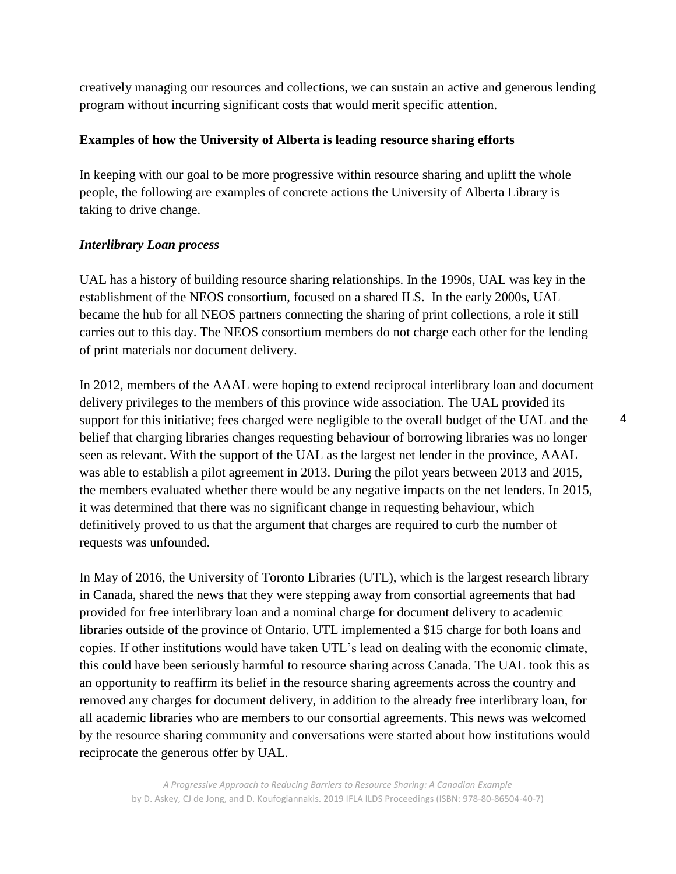creatively managing our resources and collections, we can sustain an active and generous lending program without incurring significant costs that would merit specific attention.

## **Examples of how the University of Alberta is leading resource sharing efforts**

In keeping with our goal to be more progressive within resource sharing and uplift the whole people, the following are examples of concrete actions the University of Alberta Library is taking to drive change.

## *Interlibrary Loan process*

UAL has a history of building resource sharing relationships. In the 1990s, UAL was key in the establishment of the NEOS consortium, focused on a shared ILS. In the early 2000s, UAL became the hub for all NEOS partners connecting the sharing of print collections, a role it still carries out to this day. The NEOS consortium members do not charge each other for the lending of print materials nor document delivery.

In 2012, members of the AAAL were hoping to extend reciprocal interlibrary loan and document delivery privileges to the members of this province wide association. The UAL provided its support for this initiative; fees charged were negligible to the overall budget of the UAL and the belief that charging libraries changes requesting behaviour of borrowing libraries was no longer seen as relevant. With the support of the UAL as the largest net lender in the province, AAAL was able to establish a pilot agreement in 2013. During the pilot years between 2013 and 2015, the members evaluated whether there would be any negative impacts on the net lenders. In 2015, it was determined that there was no significant change in requesting behaviour, which definitively proved to us that the argument that charges are required to curb the number of requests was unfounded.

In May of 2016, the University of Toronto Libraries (UTL), which is the largest research library in Canada, shared the news that they were stepping away from consortial agreements that had provided for free interlibrary loan and a nominal charge for document delivery to academic libraries outside of the province of Ontario. UTL implemented a \$15 charge for both loans and copies. If other institutions would have taken UTL's lead on dealing with the economic climate, this could have been seriously harmful to resource sharing across Canada. The UAL took this as an opportunity to reaffirm its belief in the resource sharing agreements across the country and removed any charges for document delivery, in addition to the already free interlibrary loan, for all academic libraries who are members to our consortial agreements. This news was welcomed by the resource sharing community and conversations were started about how institutions would reciprocate the generous offer by UAL.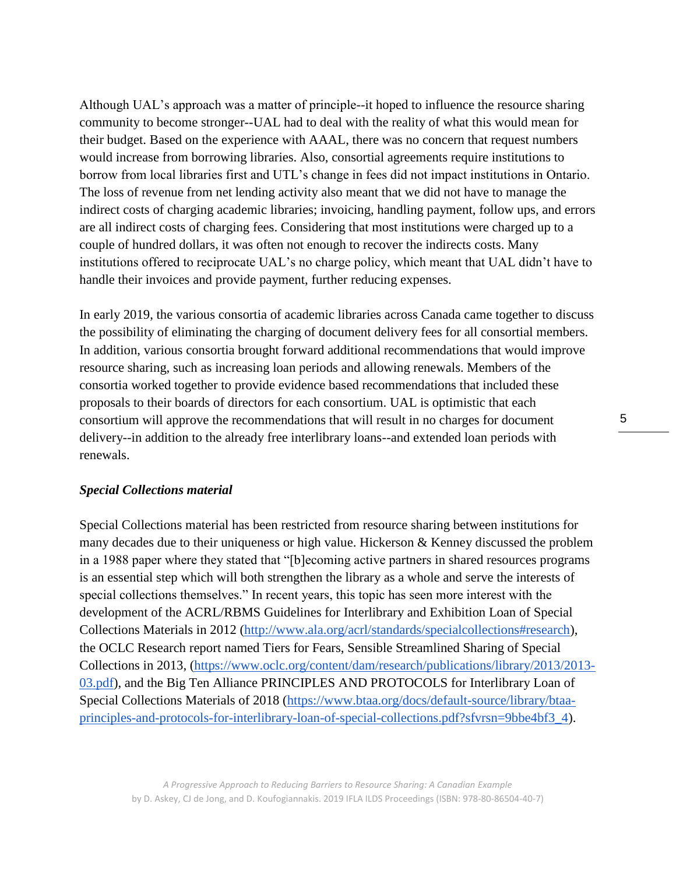Although UAL's approach was a matter of principle--it hoped to influence the resource sharing community to become stronger--UAL had to deal with the reality of what this would mean for their budget. Based on the experience with AAAL, there was no concern that request numbers would increase from borrowing libraries. Also, consortial agreements require institutions to borrow from local libraries first and UTL's change in fees did not impact institutions in Ontario. The loss of revenue from net lending activity also meant that we did not have to manage the indirect costs of charging academic libraries; invoicing, handling payment, follow ups, and errors are all indirect costs of charging fees. Considering that most institutions were charged up to a couple of hundred dollars, it was often not enough to recover the indirects costs. Many institutions offered to reciprocate UAL's no charge policy, which meant that UAL didn't have to handle their invoices and provide payment, further reducing expenses.

In early 2019, the various consortia of academic libraries across Canada came together to discuss the possibility of eliminating the charging of document delivery fees for all consortial members. In addition, various consortia brought forward additional recommendations that would improve resource sharing, such as increasing loan periods and allowing renewals. Members of the consortia worked together to provide evidence based recommendations that included these proposals to their boards of directors for each consortium. UAL is optimistic that each consortium will approve the recommendations that will result in no charges for document delivery--in addition to the already free interlibrary loans--and extended loan periods with renewals.

#### *Special Collections material*

Special Collections material has been restricted from resource sharing between institutions for many decades due to their uniqueness or high value. Hickerson & Kenney discussed the problem in a 1988 paper where they stated that "[b]ecoming active partners in shared resources programs is an essential step which will both strengthen the library as a whole and serve the interests of special collections themselves." In recent years, this topic has seen more interest with the development of the ACRL/RBMS Guidelines for Interlibrary and Exhibition Loan of Special Collections Materials in 2012 [\(http://www.ala.org/acrl/standards/specialcollections#research\)](http://www.ala.org/acrl/standards/specialcollections#research), the OCLC Research report named Tiers for Fears, Sensible Streamlined Sharing of Special Collections in 2013, [\(https://www.oclc.org/content/dam/research/publications/library/2013/2013-](https://www.oclc.org/content/dam/research/publications/library/2013/2013-03.pdf) [03.pdf\)](https://www.oclc.org/content/dam/research/publications/library/2013/2013-03.pdf), and the Big Ten Alliance PRINCIPLES AND PROTOCOLS for Interlibrary Loan of Special Collections Materials of 2018 [\(https://www.btaa.org/docs/default-source/library/btaa](https://www.btaa.org/docs/default-source/library/btaa-principles-and-protocols-for-interlibrary-loan-of-special-collections.pdf?sfvrsn=9bbe4bf3_4)[principles-and-protocols-for-interlibrary-loan-of-special-collections.pdf?sfvrsn=9bbe4bf3\\_4\)](https://www.btaa.org/docs/default-source/library/btaa-principles-and-protocols-for-interlibrary-loan-of-special-collections.pdf?sfvrsn=9bbe4bf3_4).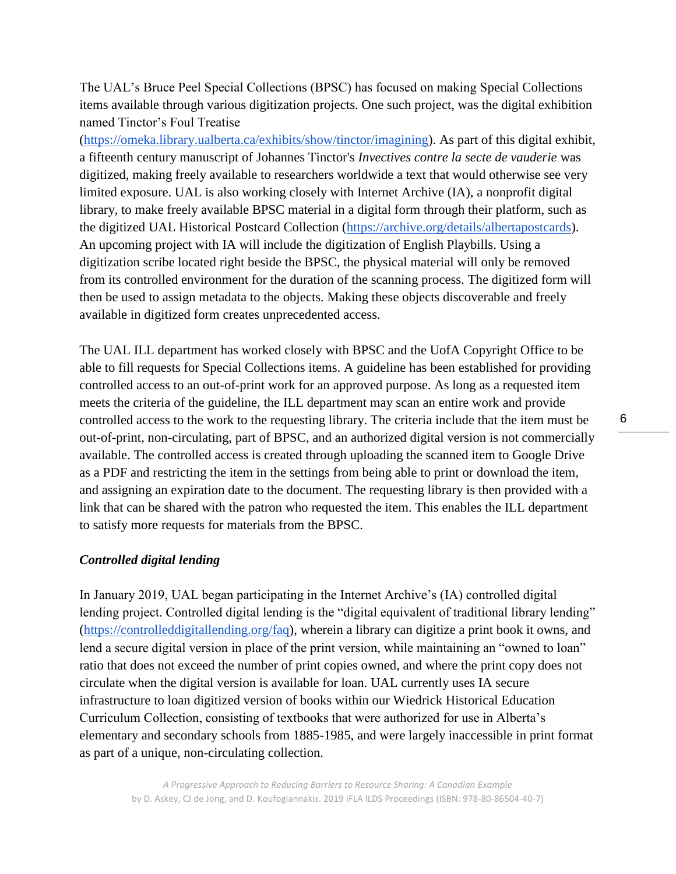The UAL's Bruce Peel Special Collections (BPSC) has focused on making Special Collections items available through various digitization projects. One such project, was the digital exhibition named Tinctor's Foul Treatise

[\(https://omeka.library.ualberta.ca/exhibits/show/tinctor/imagining\)](https://omeka.library.ualberta.ca/exhibits/show/tinctor/imagining). As part of this digital exhibit, a fifteenth century manuscript of Johannes Tinctor's *Invectives contre la secte de vauderie* was digitized, making freely available to researchers worldwide a text that would otherwise see very limited exposure. UAL is also working closely with Internet Archive (IA), a nonprofit digital library, to make freely available BPSC material in a digital form through their platform, such as the digitized UAL Historical Postcard Collection [\(https://archive.org/details/albertapostcards\)](https://archive.org/details/albertapostcards). An upcoming project with IA will include the digitization of English Playbills. Using a digitization scribe located right beside the BPSC, the physical material will only be removed from its controlled environment for the duration of the scanning process. The digitized form will then be used to assign metadata to the objects. Making these objects discoverable and freely available in digitized form creates unprecedented access.

The UAL ILL department has worked closely with BPSC and the UofA Copyright Office to be able to fill requests for Special Collections items. A guideline has been established for providing controlled access to an out-of-print work for an approved purpose. As long as a requested item meets the criteria of the guideline, the ILL department may scan an entire work and provide controlled access to the work to the requesting library. The criteria include that the item must be out-of-print, non-circulating, part of BPSC, and an authorized digital version is not commercially available. The controlled access is created through uploading the scanned item to Google Drive as a PDF and restricting the item in the settings from being able to print or download the item, and assigning an expiration date to the document. The requesting library is then provided with a link that can be shared with the patron who requested the item. This enables the ILL department to satisfy more requests for materials from the BPSC.

#### *Controlled digital lending*

In January 2019, UAL began participating in the Internet Archive's (IA) controlled digital lending project. Controlled digital lending is the "digital equivalent of traditional library lending" [\(https://controlleddigitallending.org/faq\)](https://controlleddigitallending.org/faq), wherein a library can digitize a print book it owns, and lend a secure digital version in place of the print version, while maintaining an "owned to loan" ratio that does not exceed the number of print copies owned, and where the print copy does not circulate when the digital version is available for loan. UAL currently uses IA secure infrastructure to loan digitized version of books within our Wiedrick Historical Education Curriculum Collection, consisting of textbooks that were authorized for use in Alberta's elementary and secondary schools from 1885-1985, and were largely inaccessible in print format as part of a unique, non-circulating collection.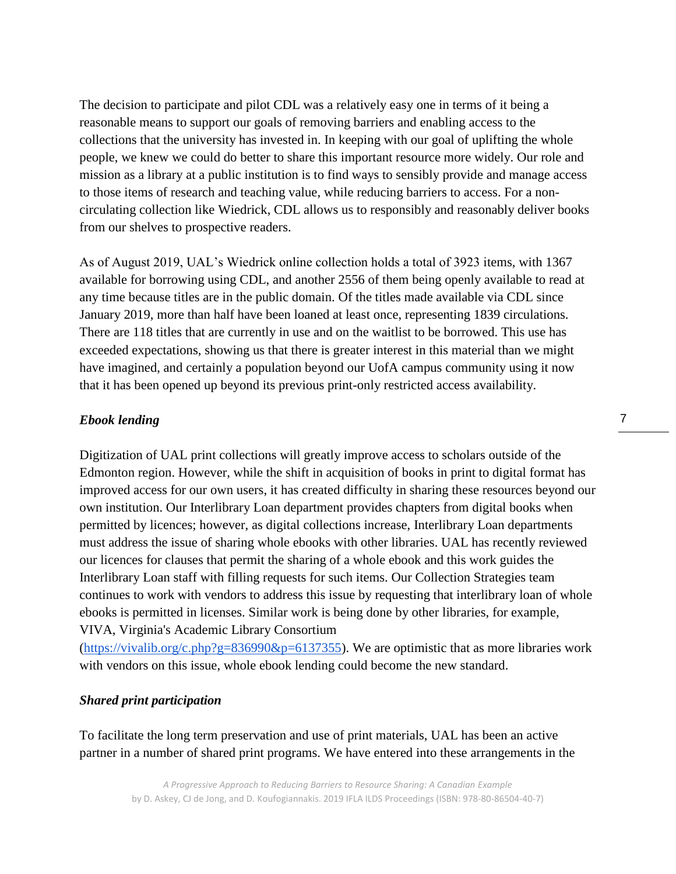The decision to participate and pilot CDL was a relatively easy one in terms of it being a reasonable means to support our goals of removing barriers and enabling access to the collections that the university has invested in. In keeping with our goal of uplifting the whole people, we knew we could do better to share this important resource more widely. Our role and mission as a library at a public institution is to find ways to sensibly provide and manage access to those items of research and teaching value, while reducing barriers to access. For a noncirculating collection like Wiedrick, CDL allows us to responsibly and reasonably deliver books from our shelves to prospective readers.

As of August 2019, UAL's Wiedrick online collection holds a total of 3923 items, with 1367 available for borrowing using CDL, and another 2556 of them being openly available to read at any time because titles are in the public domain. Of the titles made available via CDL since January 2019, more than half have been loaned at least once, representing 1839 circulations. There are 118 titles that are currently in use and on the waitlist to be borrowed. This use has exceeded expectations, showing us that there is greater interest in this material than we might have imagined, and certainly a population beyond our UofA campus community using it now that it has been opened up beyond its previous print-only restricted access availability.

### *Ebook lending*

Digitization of UAL print collections will greatly improve access to scholars outside of the Edmonton region. However, while the shift in acquisition of books in print to digital format has improved access for our own users, it has created difficulty in sharing these resources beyond our own institution. Our Interlibrary Loan department provides chapters from digital books when permitted by licences; however, as digital collections increase, Interlibrary Loan departments must address the issue of sharing whole ebooks with other libraries. UAL has recently reviewed our licences for clauses that permit the sharing of a whole ebook and this work guides the Interlibrary Loan staff with filling requests for such items. Our Collection Strategies team continues to work with vendors to address this issue by requesting that interlibrary loan of whole ebooks is permitted in licenses. Similar work is being done by other libraries, for example, VIVA, Virginia's Academic Library Consortium

[\(https://vivalib.org/c.php?g=836990&p=6137355\)](https://vivalib.org/c.php?g=836990&p=6137355). We are optimistic that as more libraries work with vendors on this issue, whole ebook lending could become the new standard.

### *Shared print participation*

To facilitate the long term preservation and use of print materials, UAL has been an active partner in a number of shared print programs. We have entered into these arrangements in the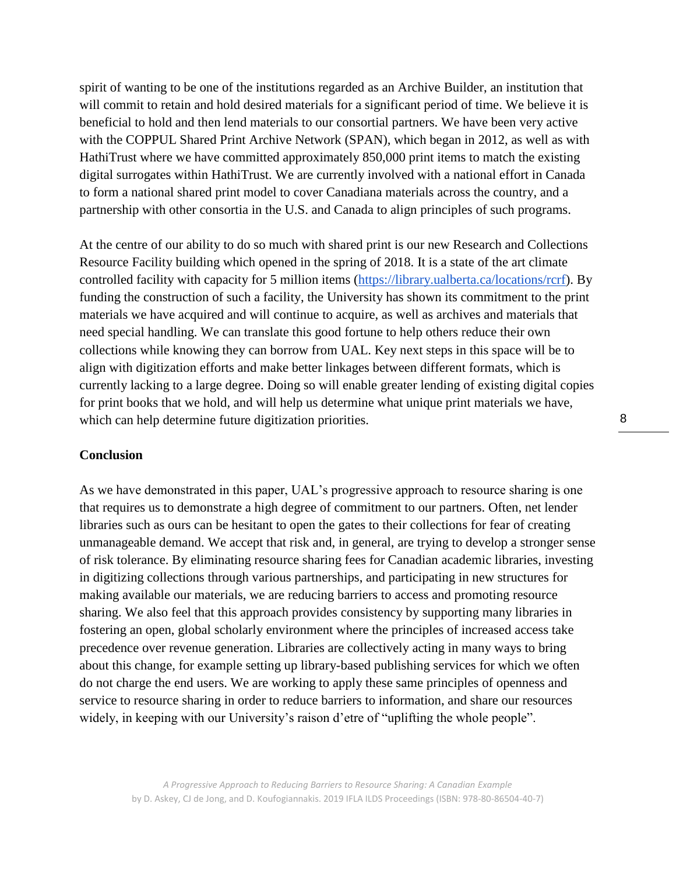spirit of wanting to be one of the institutions regarded as an Archive Builder, an institution that will commit to retain and hold desired materials for a significant period of time. We believe it is beneficial to hold and then lend materials to our consortial partners. We have been very active with the COPPUL Shared Print Archive Network (SPAN), which began in 2012, as well as with HathiTrust where we have committed approximately 850,000 print items to match the existing digital surrogates within HathiTrust. We are currently involved with a national effort in Canada to form a national shared print model to cover Canadiana materials across the country, and a partnership with other consortia in the U.S. and Canada to align principles of such programs.

At the centre of our ability to do so much with shared print is our new Research and Collections Resource Facility building which opened in the spring of 2018. It is a state of the art climate controlled facility with capacity for 5 million items [\(https://library.ualberta.ca/locations/rcrf\)](https://library.ualberta.ca/locations/rcrf). By funding the construction of such a facility, the University has shown its commitment to the print materials we have acquired and will continue to acquire, as well as archives and materials that need special handling. We can translate this good fortune to help others reduce their own collections while knowing they can borrow from UAL. Key next steps in this space will be to align with digitization efforts and make better linkages between different formats, which is currently lacking to a large degree. Doing so will enable greater lending of existing digital copies for print books that we hold, and will help us determine what unique print materials we have, which can help determine future digitization priorities.

## **Conclusion**

As we have demonstrated in this paper, UAL's progressive approach to resource sharing is one that requires us to demonstrate a high degree of commitment to our partners. Often, net lender libraries such as ours can be hesitant to open the gates to their collections for fear of creating unmanageable demand. We accept that risk and, in general, are trying to develop a stronger sense of risk tolerance. By eliminating resource sharing fees for Canadian academic libraries, investing in digitizing collections through various partnerships, and participating in new structures for making available our materials, we are reducing barriers to access and promoting resource sharing. We also feel that this approach provides consistency by supporting many libraries in fostering an open, global scholarly environment where the principles of increased access take precedence over revenue generation. Libraries are collectively acting in many ways to bring about this change, for example setting up library-based publishing services for which we often do not charge the end users. We are working to apply these same principles of openness and service to resource sharing in order to reduce barriers to information, and share our resources widely, in keeping with our University's raison d'etre of "uplifting the whole people".